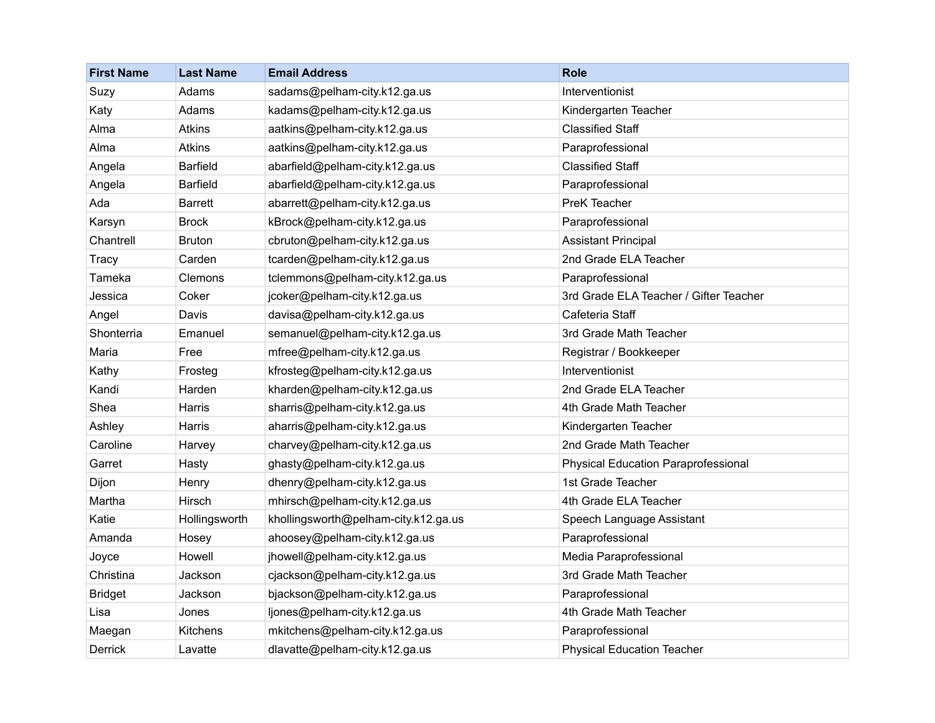| <b>First Name</b> | <b>Last Name</b> | <b>Email Address</b>                 | <b>Role</b>                            |
|-------------------|------------------|--------------------------------------|----------------------------------------|
| Suzy              | Adams            | sadams@pelham-city.k12.ga.us         | Interventionist                        |
| Katy              | Adams            | kadams@pelham-city.k12.ga.us         | Kindergarten Teacher                   |
| Alma              | <b>Atkins</b>    | aatkins@pelham-city.k12.ga.us        | <b>Classified Staff</b>                |
| Alma              | <b>Atkins</b>    | aatkins@pelham-city.k12.ga.us        | Paraprofessional                       |
| Angela            | Barfield         | abarfield@pelham-city.k12.ga.us      | <b>Classified Staff</b>                |
| Angela            | Barfield         | abarfield@pelham-city.k12.ga.us      | Paraprofessional                       |
| Ada               | <b>Barrett</b>   | abarrett@pelham-city.k12.ga.us       | PreK Teacher                           |
| Karsyn            | <b>Brock</b>     | kBrock@pelham-city.k12.ga.us         | Paraprofessional                       |
| Chantrell         | <b>Bruton</b>    | cbruton@pelham-city.k12.ga.us        | <b>Assistant Principal</b>             |
| Tracy             | Carden           | tcarden@pelham-city.k12.ga.us        | 2nd Grade ELA Teacher                  |
| Tameka            | Clemons          | tclemmons@pelham-city.k12.ga.us      | Paraprofessional                       |
| Jessica           | Coker            | jcoker@pelham-city.k12.ga.us         | 3rd Grade ELA Teacher / Gifter Teacher |
| Angel             | Davis            | davisa@pelham-city.k12.ga.us         | Cafeteria Staff                        |
| Shonterria        | Emanuel          | semanuel@pelham-city.k12.ga.us       | 3rd Grade Math Teacher                 |
| Maria             | Free             | mfree@pelham-city.k12.ga.us          | Registrar / Bookkeeper                 |
| Kathy             | Frosteg          | kfrosteg@pelham-city.k12.ga.us       | Interventionist                        |
| Kandi             | Harden           | kharden@pelham-city.k12.ga.us        | 2nd Grade ELA Teacher                  |
| Shea              | Harris           | sharris@pelham-city.k12.ga.us        | 4th Grade Math Teacher                 |
| Ashley            | Harris           | aharris@pelham-city.k12.ga.us        | Kindergarten Teacher                   |
| Caroline          | Harvey           | charvey@pelham-city.k12.ga.us        | 2nd Grade Math Teacher                 |
| Garret            | Hasty            | ghasty@pelham-city.k12.ga.us         | Physical Education Paraprofessional    |
| Dijon             | Henry            | dhenry@pelham-city.k12.ga.us         | 1st Grade Teacher                      |
| Martha            | <b>Hirsch</b>    | mhirsch@pelham-city.k12.ga.us        | 4th Grade ELA Teacher                  |
| Katie             | Hollingsworth    | khollingsworth@pelham-city.k12.ga.us | Speech Language Assistant              |
| Amanda            | Hosey            | ahoosey@pelham-city.k12.ga.us        | Paraprofessional                       |
| Joyce             | Howell           | jhowell@pelham-city.k12.ga.us        | Media Paraprofessional                 |
| Christina         | Jackson          | cjackson@pelham-city.k12.ga.us       | 3rd Grade Math Teacher                 |
| <b>Bridget</b>    | Jackson          | bjackson@pelham-city.k12.ga.us       | Paraprofessional                       |
| Lisa              | Jones            | ljones@pelham-city.k12.ga.us         | 4th Grade Math Teacher                 |
| Maegan            | <b>Kitchens</b>  | mkitchens@pelham-city.k12.ga.us      | Paraprofessional                       |
| Derrick           | Lavatte          | dlavatte@pelham-city.k12.ga.us       | <b>Physical Education Teacher</b>      |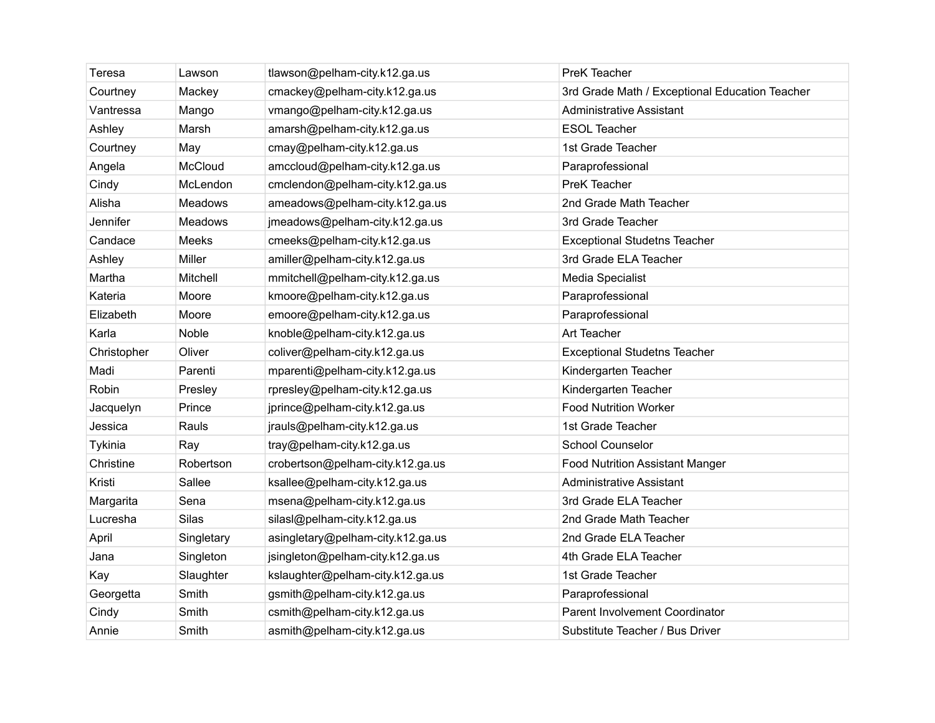| Teresa      | Lawson         | tlawson@pelham-city.k12.ga.us     | PreK Teacher                                   |
|-------------|----------------|-----------------------------------|------------------------------------------------|
| Courtney    | Mackey         | cmackey@pelham-city.k12.ga.us     | 3rd Grade Math / Exceptional Education Teacher |
| Vantressa   | Mango          | vmango@pelham-city.k12.ga.us      | <b>Administrative Assistant</b>                |
| Ashley      | Marsh          | amarsh@pelham-city.k12.ga.us      | <b>ESOL Teacher</b>                            |
| Courtney    | May            | cmay@pelham-city.k12.ga.us        | 1st Grade Teacher                              |
| Angela      | McCloud        | amccloud@pelham-city.k12.ga.us    | Paraprofessional                               |
| Cindy       | McLendon       | cmclendon@pelham-city.k12.ga.us   | PreK Teacher                                   |
| Alisha      | <b>Meadows</b> | ameadows@pelham-city.k12.ga.us    | 2nd Grade Math Teacher                         |
| Jennifer    | Meadows        | jmeadows@pelham-city.k12.ga.us    | 3rd Grade Teacher                              |
| Candace     | Meeks          | cmeeks@pelham-city.k12.ga.us      | <b>Exceptional Studetns Teacher</b>            |
| Ashley      | Miller         | amiller@pelham-city.k12.ga.us     | 3rd Grade ELA Teacher                          |
| Martha      | Mitchell       | mmitchell@pelham-city.k12.ga.us   | Media Specialist                               |
| Kateria     | Moore          | kmoore@pelham-city.k12.ga.us      | Paraprofessional                               |
| Elizabeth   | Moore          | emoore@pelham-city.k12.ga.us      | Paraprofessional                               |
| Karla       | Noble          | knoble@pelham-city.k12.ga.us      | Art Teacher                                    |
| Christopher | Oliver         | coliver@pelham-city.k12.ga.us     | <b>Exceptional Studetns Teacher</b>            |
| Madi        | Parenti        | mparenti@pelham-city.k12.ga.us    | Kindergarten Teacher                           |
| Robin       | Presley        | rpresley@pelham-city.k12.ga.us    | Kindergarten Teacher                           |
| Jacquelyn   | Prince         | jprince@pelham-city.k12.ga.us     | <b>Food Nutrition Worker</b>                   |
| Jessica     | Rauls          | jrauls@pelham-city.k12.ga.us      | 1st Grade Teacher                              |
| Tykinia     | Ray            | tray@pelham-city.k12.ga.us        | <b>School Counselor</b>                        |
| Christine   | Robertson      | crobertson@pelham-city.k12.ga.us  | <b>Food Nutrition Assistant Manger</b>         |
| Kristi      | Sallee         | ksallee@pelham-city.k12.ga.us     | <b>Administrative Assistant</b>                |
| Margarita   | Sena           | msena@pelham-city.k12.ga.us       | 3rd Grade ELA Teacher                          |
| Lucresha    | <b>Silas</b>   | silasl@pelham-city.k12.ga.us      | 2nd Grade Math Teacher                         |
| April       | Singletary     | asingletary@pelham-city.k12.ga.us | 2nd Grade ELA Teacher                          |
| Jana        | Singleton      | jsingleton@pelham-city.k12.ga.us  | 4th Grade ELA Teacher                          |
| Kay         | Slaughter      | kslaughter@pelham-city.k12.ga.us  | 1st Grade Teacher                              |
| Georgetta   | Smith          | gsmith@pelham-city.k12.ga.us      | Paraprofessional                               |
| Cindy       | Smith          | csmith@pelham-city.k12.ga.us      | Parent Involvement Coordinator                 |
| Annie       | Smith          | asmith@pelham-city.k12.ga.us      | Substitute Teacher / Bus Driver                |